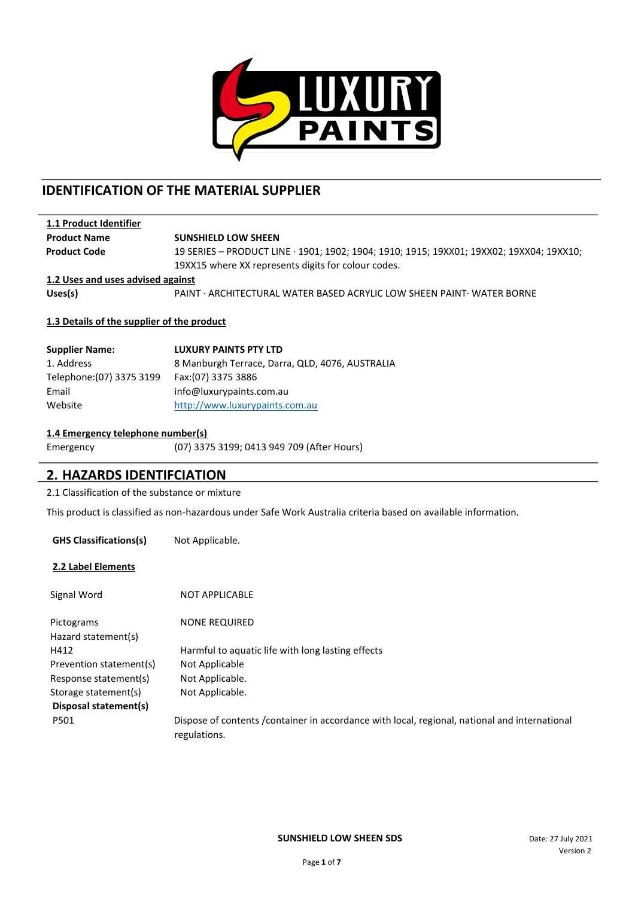

# **IDENTIFICATION OF THE MATERIAL SUPPLIER**

| 1.1 Product Identifier            |                                                                                                                                                 |
|-----------------------------------|-------------------------------------------------------------------------------------------------------------------------------------------------|
| <b>Product Name</b>               | <b>SUNSHIELD LOW SHEEN</b>                                                                                                                      |
| <b>Product Code</b>               | 19 SERIES - PRODUCT LINE · 1901; 1902; 1904; 1910; 1915; 19XX01; 19XX02; 19XX04; 19XX10;<br>19XX15 where XX represents digits for colour codes. |
| 1.2 Uses and uses advised against |                                                                                                                                                 |
| Uses(s)                           | PAINT · ARCHITECTURAL WATER BASED ACRYLIC LOW SHEEN PAINT · WATER BORNE                                                                         |

### **1.3 Details of the supplier of the product**

| <b>Supplier Name:</b>     | <b>LUXURY PAINTS PTY LTD</b>                    |
|---------------------------|-------------------------------------------------|
| 1. Address                | 8 Manburgh Terrace, Darra, QLD, 4076, AUSTRALIA |
| Telephone: (07) 3375 3199 | Fax: (07) 3375 3886                             |
| Email                     | info@luxurypaints.com.au                        |
| Website                   | http://www.luxurypaints.com.au                  |

### **1.4 Emergency telephone number(s)**

Emergency (07) 3375 3199; 0413 949 709 (After Hours)

### **2. HAZARDS IDENTIFCIATION**

2.1 Classification of the substance or mixture

This product is classified as non-hazardous under Safe Work Australia criteria based on available information.

| <b>GHS Classifications(s)</b>     | Not Applicable.                                                                                               |
|-----------------------------------|---------------------------------------------------------------------------------------------------------------|
| 2.2 Label Elements                |                                                                                                               |
| Signal Word                       | <b>NOT APPLICABLE</b>                                                                                         |
| Pictograms<br>Hazard statement(s) | <b>NONE REQUIRED</b>                                                                                          |
| H412                              | Harmful to aquatic life with long lasting effects                                                             |
| Prevention statement(s)           | Not Applicable                                                                                                |
| Response statement(s)             | Not Applicable.                                                                                               |
| Storage statement(s)              | Not Applicable.                                                                                               |
| Disposal statement(s)             |                                                                                                               |
| P501                              | Dispose of contents /container in accordance with local, regional, national and international<br>regulations. |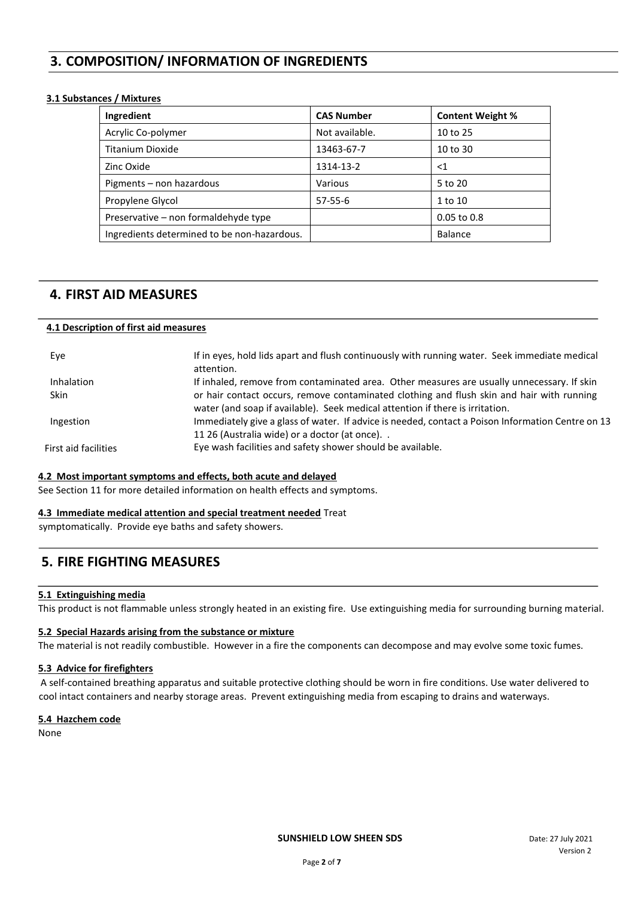# **3. COMPOSITION/ INFORMATION OF INGREDIENTS**

### **3.1 Substances / Mixtures**

| Ingredient                                  | <b>CAS Number</b> | <b>Content Weight %</b> |
|---------------------------------------------|-------------------|-------------------------|
| Acrylic Co-polymer                          | Not available.    | 10 to 25                |
| Titanium Dioxide                            | 13463-67-7        | 10 to 30                |
| Zinc Oxide                                  | 1314-13-2         | ${<}1$                  |
| Pigments – non hazardous                    | Various           | 5 to 20                 |
| Propylene Glycol                            | $57 - 55 - 6$     | 1 to 10                 |
| Preservative – non formaldehyde type        |                   | $0.05$ to $0.8$         |
| Ingredients determined to be non-hazardous. |                   | <b>Balance</b>          |

### **4. FIRST AID MEASURES**

#### **4.1 Description of first aid measures**

| Eye                  | If in eyes, hold lids apart and flush continuously with running water. Seek immediate medical<br>attention.                                                                |
|----------------------|----------------------------------------------------------------------------------------------------------------------------------------------------------------------------|
| <b>Inhalation</b>    | If inhaled, remove from contaminated area. Other measures are usually unnecessary. If skin                                                                                 |
| <b>Skin</b>          | or hair contact occurs, remove contaminated clothing and flush skin and hair with running<br>water (and soap if available). Seek medical attention if there is irritation. |
| Ingestion            | Immediately give a glass of water. If advice is needed, contact a Poison Information Centre on 13<br>11 26 (Australia wide) or a doctor (at once)                          |
| First aid facilities | Eye wash facilities and safety shower should be available.                                                                                                                 |

#### **4.2 Most important symptoms and effects, both acute and delayed**

See Section 11 for more detailed information on health effects and symptoms.

#### **4.3 Immediate medical attention and special treatment needed** Treat

symptomatically. Provide eye baths and safety showers.

### **5. FIRE FIGHTING MEASURES**

### **5.1 Extinguishing media**

This product is not flammable unless strongly heated in an existing fire. Use extinguishing media for surrounding burning material.

### **5.2 Special Hazards arising from the substance or mixture**

The material is not readily combustible. However in a fire the components can decompose and may evolve some toxic fumes.

### **5.3 Advice for firefighters**

A self-contained breathing apparatus and suitable protective clothing should be worn in fire conditions. Use water delivered to cool intact containers and nearby storage areas. Prevent extinguishing media from escaping to drains and waterways.

### **5.4 Hazchem code**

None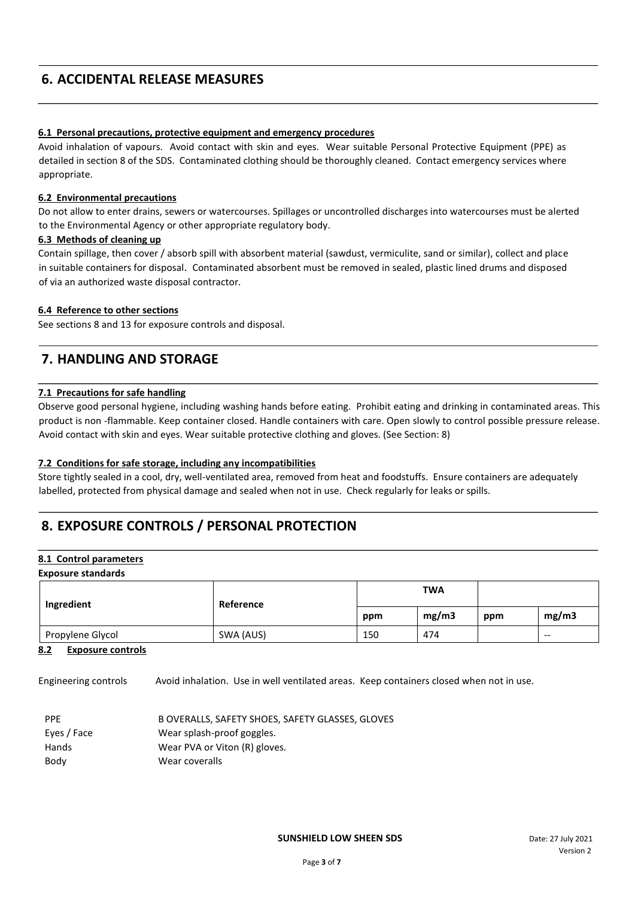# **6. ACCIDENTAL RELEASE MEASURES**

### **6.1 Personal precautions, protective equipment and emergency procedures**

Avoid inhalation of vapours. Avoid contact with skin and eyes. Wear suitable Personal Protective Equipment (PPE) as detailed in section 8 of the SDS. Contaminated clothing should be thoroughly cleaned. Contact emergency services where appropriate.

### **6.2 Environmental precautions**

Do not allow to enter drains, sewers or watercourses. Spillages or uncontrolled discharges into watercourses must be alerted to the Environmental Agency or other appropriate regulatory body.

### **6.3 Methods of cleaning up**

Contain spillage, then cover / absorb spill with absorbent material (sawdust, vermiculite, sand or similar), collect and place in suitable containers for disposal. Contaminated absorbent must be removed in sealed, plastic lined drums and disposed of via an authorized waste disposal contractor.

### **6.4 Reference to other sections**

See sections 8 and 13 for exposure controls and disposal.

# **7. HANDLING AND STORAGE**

### **7.1 Precautions for safe handling**

Observe good personal hygiene, including washing hands before eating. Prohibit eating and drinking in contaminated areas. This product is non -flammable. Keep container closed. Handle containers with care. Open slowly to control possible pressure release. Avoid contact with skin and eyes. Wear suitable protective clothing and gloves. (See Section: 8)

### **7.2 Conditions for safe storage, including any incompatibilities**

Store tightly sealed in a cool, dry, well-ventilated area, removed from heat and foodstuffs. Ensure containers are adequately labelled, protected from physical damage and sealed when not in use. Check regularly for leaks or spills.

# **8. EXPOSURE CONTROLS / PERSONAL PROTECTION**

#### **8.1 Control parameters Exposure standards**

| Ingredient       | Reference | <b>TWA</b> |       |     |       |
|------------------|-----------|------------|-------|-----|-------|
|                  |           | ppm        | mg/m3 | ppm | mg/m3 |
| Propylene Glycol | SWA (AUS) | 150        | 474   |     | $- -$ |

### **8.2 Exposure controls**

Engineering controls Avoid inhalation. Use in well ventilated areas. Keep containers closed when not in use.

| <b>PPF</b>  | B OVERALLS, SAFETY SHOES, SAFETY GLASSES, GLOVES |
|-------------|--------------------------------------------------|
| Eyes / Face | Wear splash-proof goggles.                       |
| Hands       | Wear PVA or Viton (R) gloves.                    |
| Body        | Wear coveralls                                   |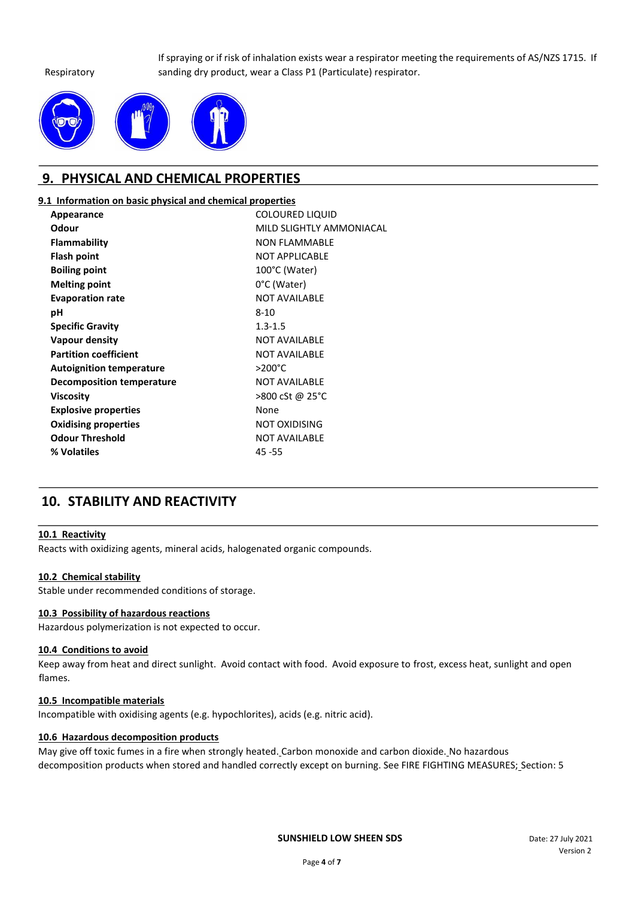#### Respiratory

If spraying or if risk of inhalation exists wear a respirator meeting the requirements of AS/NZS 1715. If sanding dry product, wear a Class P1 (Particulate) respirator.



## **9. PHYSICAL AND CHEMICAL PROPERTIES**

### **9.1 Information on basic physical and chemical properties**

| Appearance                       | <b>COLOURED LIQUID</b>   |
|----------------------------------|--------------------------|
| Odour                            | MILD SLIGHTLY AMMONIACAL |
| <b>Flammability</b>              | <b>NON FLAMMABLE</b>     |
| Flash point                      | <b>NOT APPLICABLE</b>    |
| <b>Boiling point</b>             | 100°C (Water)            |
| <b>Melting point</b>             | 0°C (Water)              |
| <b>Evaporation rate</b>          | <b>NOT AVAILABLE</b>     |
| рH                               | $8 - 10$                 |
| <b>Specific Gravity</b>          | $1.3 - 1.5$              |
| <b>Vapour density</b>            | <b>NOT AVAILABLE</b>     |
| <b>Partition coefficient</b>     | <b>NOT AVAILABLE</b>     |
| <b>Autoignition temperature</b>  | $>200^{\circ}$ C         |
| <b>Decomposition temperature</b> | <b>NOT AVAILABLE</b>     |
| Viscosity                        | >800 cSt @ 25°C          |
| <b>Explosive properties</b>      | None                     |
| <b>Oxidising properties</b>      | <b>NOT OXIDISING</b>     |
| <b>Odour Threshold</b>           | <b>NOT AVAILABLE</b>     |
| % Volatiles                      | $45 - 55$                |

# **10. STABILITY AND REACTIVITY**

### **10.1 Reactivity**

Reacts with oxidizing agents, mineral acids, halogenated organic compounds.

### **10.2 Chemical stability**

Stable under recommended conditions of storage.

### **10.3 Possibility of hazardous reactions**

Hazardous polymerization is not expected to occur.

### **10.4 Conditions to avoid**

Keep away from heat and direct sunlight. Avoid contact with food. Avoid exposure to frost, excess heat, sunlight and open flames.

### **10.5 Incompatible materials**

Incompatible with oxidising agents (e.g. hypochlorites), acids (e.g. nitric acid).

### **10.6 Hazardous decomposition products**

May give off toxic fumes in a fire when strongly heated. Carbon monoxide and carbon dioxide. No hazardous decomposition products when stored and handled correctly except on burning. See FIRE FIGHTING MEASURES; Section: 5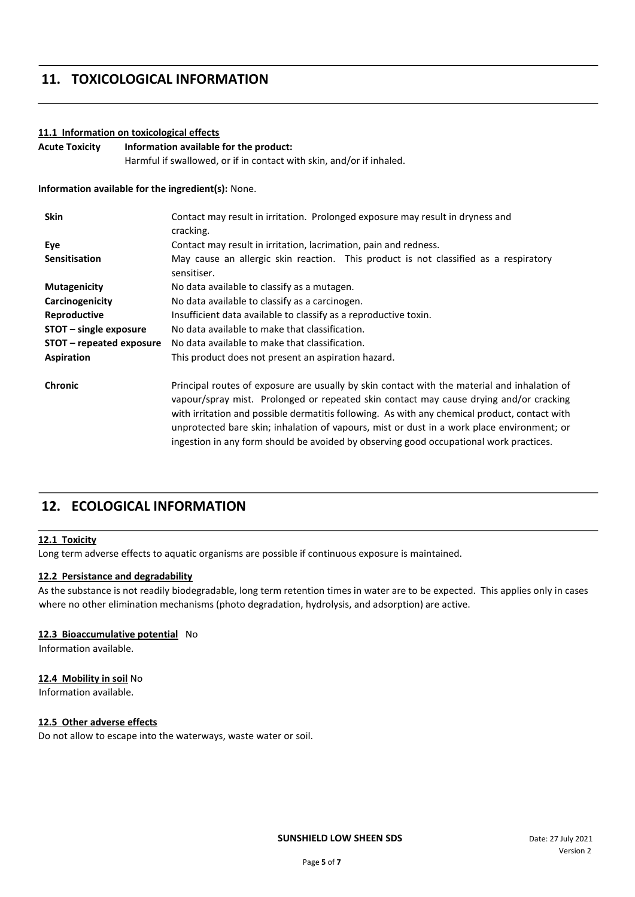# **11. TOXICOLOGICAL INFORMATION**

### **11.1 Information on toxicological effects**

**Acute Toxicity Information available for the product:** Harmful if swallowed, or if in contact with skin, and/or if inhaled.

**Information available for the ingredient(s):** None.

| <b>Skin</b>              | Contact may result in irritation. Prolonged exposure may result in dryness and<br>cracking.                                                                                                                                                                                                                                                                                                                                                                                     |  |
|--------------------------|---------------------------------------------------------------------------------------------------------------------------------------------------------------------------------------------------------------------------------------------------------------------------------------------------------------------------------------------------------------------------------------------------------------------------------------------------------------------------------|--|
| Eye                      | Contact may result in irritation, lacrimation, pain and redness.                                                                                                                                                                                                                                                                                                                                                                                                                |  |
| <b>Sensitisation</b>     | May cause an allergic skin reaction. This product is not classified as a respiratory<br>sensitiser.                                                                                                                                                                                                                                                                                                                                                                             |  |
| <b>Mutagenicity</b>      | No data available to classify as a mutagen.                                                                                                                                                                                                                                                                                                                                                                                                                                     |  |
| Carcinogenicity          | No data available to classify as a carcinogen.                                                                                                                                                                                                                                                                                                                                                                                                                                  |  |
| Reproductive             | Insufficient data available to classify as a reproductive toxin.                                                                                                                                                                                                                                                                                                                                                                                                                |  |
| $STOT$ – single exposure | No data available to make that classification.                                                                                                                                                                                                                                                                                                                                                                                                                                  |  |
| STOT – repeated exposure | No data available to make that classification.                                                                                                                                                                                                                                                                                                                                                                                                                                  |  |
| Aspiration               | This product does not present an aspiration hazard.                                                                                                                                                                                                                                                                                                                                                                                                                             |  |
| <b>Chronic</b>           | Principal routes of exposure are usually by skin contact with the material and inhalation of<br>vapour/spray mist. Prolonged or repeated skin contact may cause drying and/or cracking<br>with irritation and possible dermatitis following. As with any chemical product, contact with<br>unprotected bare skin; inhalation of vapours, mist or dust in a work place environment; or<br>ingestion in any form should be avoided by observing good occupational work practices. |  |

# **12. ECOLOGICAL INFORMATION**

### **12.1 Toxicity**

Long term adverse effects to aquatic organisms are possible if continuous exposure is maintained.

### **12.2 Persistance and degradability**

As the substance is not readily biodegradable, long term retention times in water are to be expected. This applies only in cases where no other elimination mechanisms (photo degradation, hydrolysis, and adsorption) are active.

### **12.3 Bioaccumulative potential** No

Information available.

#### **12.4 Mobility in soil** No

Information available.

### **12.5 Other adverse effects**

Do not allow to escape into the waterways, waste water or soil.

**SUNSHIELD LOW SHEEN SDS** Date: 27 July 2021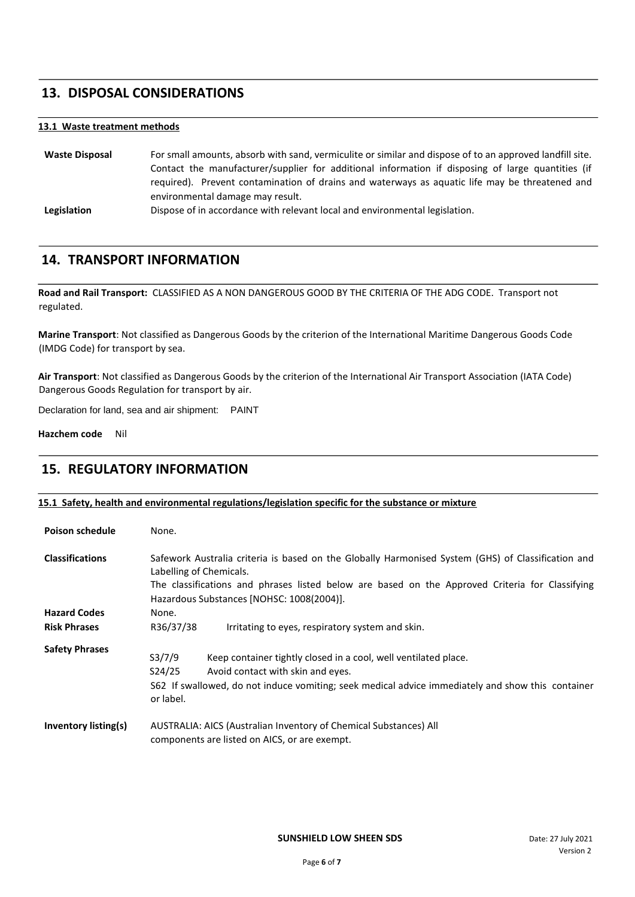### **13. DISPOSAL CONSIDERATIONS**

### **13.1 Waste treatment methods**

**Waste Disposal** For small amounts, absorb with sand, vermiculite or similar and dispose of to an approved landfill site. Contact the manufacturer/supplier for additional information if disposing of large quantities (if required). Prevent contamination of drains and waterways as aquatic life may be threatened and environmental damage may result.

**Legislation** Dispose of in accordance with relevant local and environmental legislation.

### **14. TRANSPORT INFORMATION**

**Road and Rail Transport:** CLASSIFIED AS A NON DANGEROUS GOOD BY THE CRITERIA OF THE ADG CODE. Transport not regulated.

**Marine Transport**: Not classified as Dangerous Goods by the criterion of the International Maritime Dangerous Goods Code (IMDG Code) for transport by sea.

**Air Transport**: Not classified as Dangerous Goods by the criterion of the International Air Transport Association (IATA Code) Dangerous Goods Regulation for transport by air.

Declaration for land, sea and air shipment: PAINT

**Hazchem code** Nil

### **15. REGULATORY INFORMATION**

### **15.1 Safety, health and environmental regulations/legislation specific for the substance or mixture**

| <b>Poison schedule</b>      | None.                                                                                                                                                                                                                                                                         |  |
|-----------------------------|-------------------------------------------------------------------------------------------------------------------------------------------------------------------------------------------------------------------------------------------------------------------------------|--|
| <b>Classifications</b>      | Safework Australia criteria is based on the Globally Harmonised System (GHS) of Classification and<br>Labelling of Chemicals.<br>The classifications and phrases listed below are based on the Approved Criteria for Classifying<br>Hazardous Substances [NOHSC: 1008(2004)]. |  |
| <b>Hazard Codes</b>         | None.                                                                                                                                                                                                                                                                         |  |
| <b>Risk Phrases</b>         | R36/37/38<br>Irritating to eyes, respiratory system and skin.                                                                                                                                                                                                                 |  |
| <b>Safety Phrases</b>       | S3/7/9<br>Keep container tightly closed in a cool, well ventilated place.<br>S24/25<br>Avoid contact with skin and eyes.<br>S62 If swallowed, do not induce vomiting; seek medical advice immediately and show this container<br>or label.                                    |  |
| <b>Inventory listing(s)</b> | AUSTRALIA: AICS (Australian Inventory of Chemical Substances) All<br>components are listed on AICS, or are exempt.                                                                                                                                                            |  |